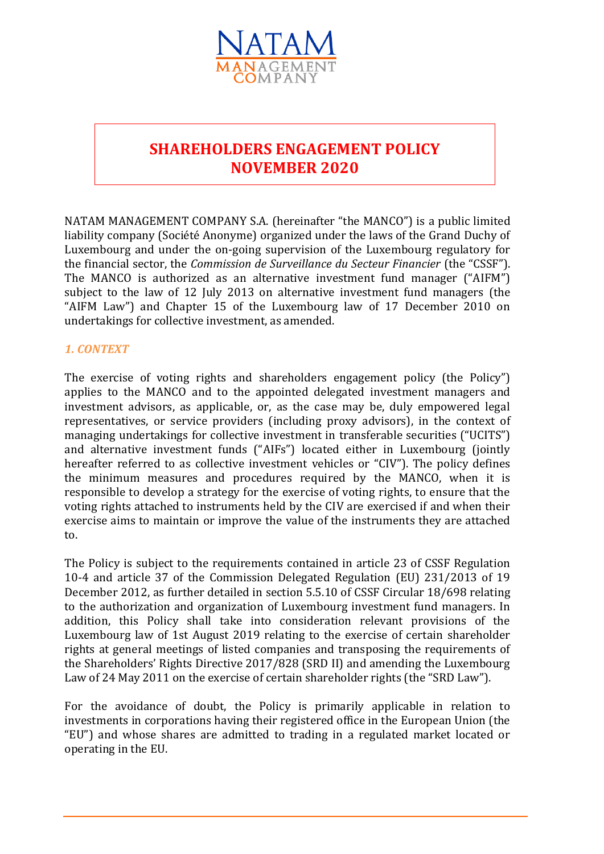

# **SHAREHOLDERS ENGAGEMENT POLICY NOVEMBER 2020**

NATAM MANAGEMENT COMPANY S.A. (hereinafter "the MANCO") is a public limited liability company (Société Anonyme) organized under the laws of the Grand Duchy of Luxembourg and under the on-going supervision of the Luxembourg regulatory for the financial sector, the *Commission de Surveillance du Secteur Financier* (the "CSSF"). The MANCO is authorized as an alternative investment fund manager ("AIFM") subject to the law of 12 July 2013 on alternative investment fund managers (the "AIFM Law") and Chapter 15 of the Luxembourg law of 17 December 2010 on undertakings for collective investment, as amended.

### *1. CONTEXT*

The exercise of voting rights and shareholders engagement policy (the Policy") applies to the MANCO and to the appointed delegated investment managers and investment advisors, as applicable, or, as the case may be, duly empowered legal representatives, or service providers (including proxy advisors), in the context of managing undertakings for collective investment in transferable securities ("UCITS") and alternative investment funds ("AIFs") located either in Luxembourg (jointly hereafter referred to as collective investment vehicles or "CIV"). The policy defines the minimum measures and procedures required by the MANCO, when it is responsible to develop a strategy for the exercise of voting rights, to ensure that the voting rights attached to instruments held by the CIV are exercised if and when their exercise aims to maintain or improve the value of the instruments they are attached to.

The Policy is subject to the requirements contained in article 23 of CSSF Regulation 10-4 and article 37 of the Commission Delegated Regulation (EU) 231/2013 of 19 December 2012, as further detailed in section 5.5.10 of CSSF Circular 18/698 relating to the authorization and organization of Luxembourg investment fund managers. In addition, this Policy shall take into consideration relevant provisions of the Luxembourg law of 1st August 2019 relating to the exercise of certain shareholder rights at general meetings of listed companies and transposing the requirements of the Shareholders' Rights Directive 2017/828 (SRD II) and amending the Luxembourg Law of 24 May 2011 on the exercise of certain shareholder rights (the "SRD Law").

For the avoidance of doubt, the Policy is primarily applicable in relation to investments in corporations having their registered office in the European Union (the "EU") and whose shares are admitted to trading in a regulated market located or operating in the EU.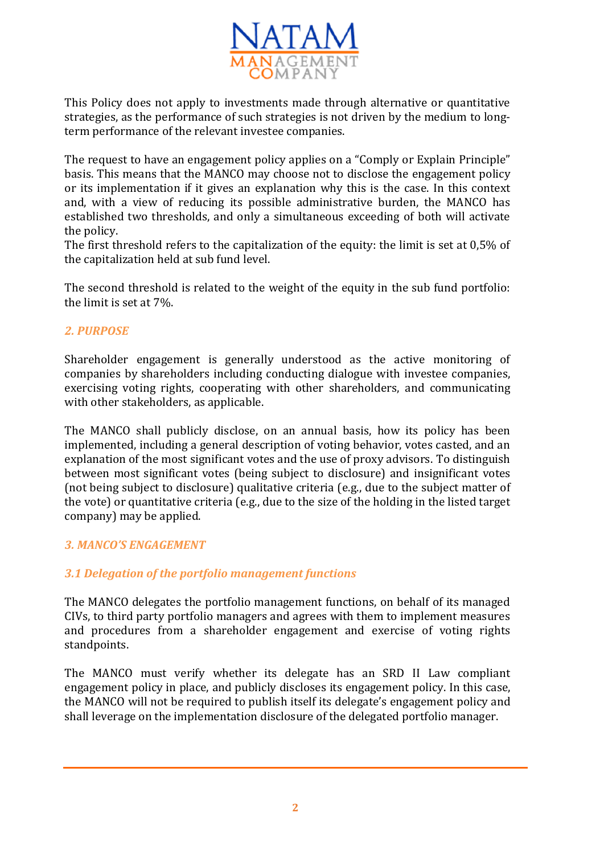

This Policy does not apply to investments made through alternative or quantitative strategies, as the performance of such strategies is not driven by the medium to longterm performance of the relevant investee companies.

The request to have an engagement policy applies on a "Comply or Explain Principle" basis. This means that the MANCO may choose not to disclose the engagement policy or its implementation if it gives an explanation why this is the case. In this context and, with a view of reducing its possible administrative burden, the MANCO has established two thresholds, and only a simultaneous exceeding of both will activate the policy.

The first threshold refers to the capitalization of the equity: the limit is set at 0,5% of the capitalization held at sub fund level.

The second threshold is related to the weight of the equity in the sub fund portfolio: the limit is set at 7%.

# *2. PURPOSE*

Shareholder engagement is generally understood as the active monitoring of companies by shareholders including conducting dialogue with investee companies, exercising voting rights, cooperating with other shareholders, and communicating with other stakeholders, as applicable.

The MANCO shall publicly disclose, on an annual basis, how its policy has been implemented, including a general description of voting behavior, votes casted, and an explanation of the most significant votes and the use of proxy advisors. To distinguish between most significant votes (being subject to disclosure) and insignificant votes (not being subject to disclosure) qualitative criteria (e.g., due to the subject matter of the vote) or quantitative criteria (e.g., due to the size of the holding in the listed target company) may be applied.

# *3. MANCO'S ENGAGEMENT*

# *3.1 Delegation of the portfolio management functions*

The MANCO delegates the portfolio management functions, on behalf of its managed CIVs, to third party portfolio managers and agrees with them to implement measures and procedures from a shareholder engagement and exercise of voting rights standpoints.

The MANCO must verify whether its delegate has an SRD II Law compliant engagement policy in place, and publicly discloses its engagement policy. In this case, the MANCO will not be required to publish itself its delegate's engagement policy and shall leverage on the implementation disclosure of the delegated portfolio manager.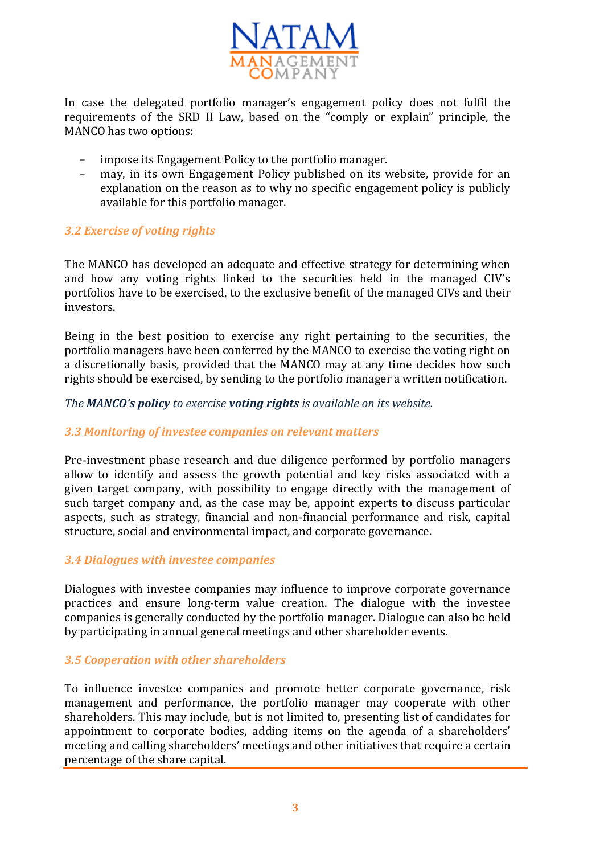

In case the delegated portfolio manager's engagement policy does not fulfil the requirements of the SRD II Law, based on the "comply or explain" principle, the MANCO has two options:

- impose its Engagement Policy to the portfolio manager.
- − may, in its own Engagement Policy published on its website, provide for an explanation on the reason as to why no specific engagement policy is publicly available for this portfolio manager.

#### *3.2 Exercise of voting rights*

The MANCO has developed an adequate and effective strategy for determining when and how any voting rights linked to the securities held in the managed CIV's portfolios have to be exercised, to the exclusive benefit of the managed CIVs and their investors.

Being in the best position to exercise any right pertaining to the securities, the portfolio managers have been conferred by the MANCO to exercise the voting right on a discretionally basis, provided that the MANCO may at any time decides how such rights should be exercised, by sending to the portfolio manager a written notification.

*The MANCO's policy to exercise voting rights is available on its website.*

### *3.3 Monitoring of investee companies on relevant matters*

Pre-investment phase research and due diligence performed by portfolio managers allow to identify and assess the growth potential and key risks associated with a given target company, with possibility to engage directly with the management of such target company and, as the case may be, appoint experts to discuss particular aspects, such as strategy, financial and non-financial performance and risk, capital structure, social and environmental impact, and corporate governance.

#### *3.4 Dialogues with investee companies*

Dialogues with investee companies may influence to improve corporate governance practices and ensure long-term value creation. The dialogue with the investee companies is generally conducted by the portfolio manager. Dialogue can also be held by participating in annual general meetings and other shareholder events.

#### *3.5 Cooperation with other shareholders*

To influence investee companies and promote better corporate governance, risk management and performance, the portfolio manager may cooperate with other shareholders. This may include, but is not limited to, presenting list of candidates for appointment to corporate bodies, adding items on the agenda of a shareholders' meeting and calling shareholders' meetings and other initiatives that require a certain percentage of the share capital.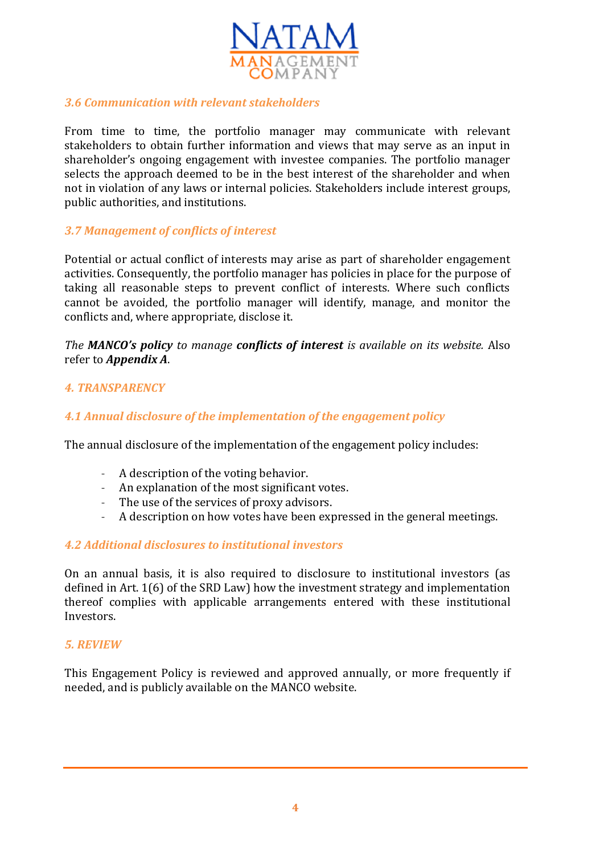

# *3.6 Communication with relevant stakeholders*

From time to time, the portfolio manager may communicate with relevant stakeholders to obtain further information and views that may serve as an input in shareholder's ongoing engagement with investee companies. The portfolio manager selects the approach deemed to be in the best interest of the shareholder and when not in violation of any laws or internal policies. Stakeholders include interest groups, public authorities, and institutions.

# *3.7 Management of conflicts of interest*

Potential or actual conflict of interests may arise as part of shareholder engagement activities. Consequently, the portfolio manager has policies in place for the purpose of taking all reasonable steps to prevent conflict of interests. Where such conflicts cannot be avoided, the portfolio manager will identify, manage, and monitor the conflicts and, where appropriate, disclose it.

*The MANCO's policy to manage conflicts of interest is available on its website.* Also refer to *Appendix A*.

### *4. TRANSPARENCY*

# *4.1 Annual disclosure of the implementation of the engagement policy*

The annual disclosure of the implementation of the engagement policy includes:

- A description of the voting behavior.
- An explanation of the most significant votes.
- The use of the services of proxy advisors.
- A description on how votes have been expressed in the general meetings.

### *4.2 Additional disclosures to institutional investors*

On an annual basis, it is also required to disclosure to institutional investors (as defined in Art. 1(6) of the SRD Law) how the investment strategy and implementation thereof complies with applicable arrangements entered with these institutional Investors.

### *5. REVIEW*

This Engagement Policy is reviewed and approved annually, or more frequently if needed, and is publicly available on the MANCO website.